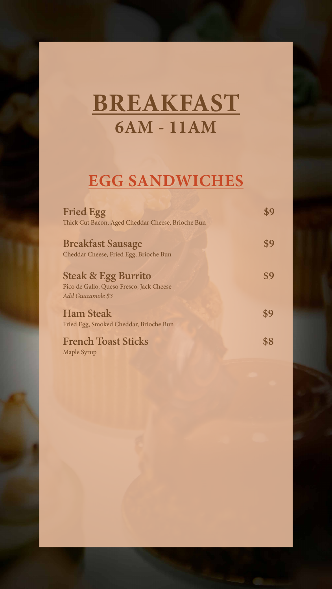## **BREAKFAST 6AM - 11AM**

### **EGG SANDWICHES**

**Fried Egg 59** Thick Cut Bacon, Aged Cheddar Cheese, Brioche Bun

Breakfast Sausage \$9 Cheddar Cheese, Fried Egg, Brioche Bun

**Steak & Egg Burrito \$9** Pico de Gallo, Queso Fresco, Jack Cheese *Add Guacamole \$3*

**Ham Steak \$9** Fried Egg, Smoked Cheddar, Brioche Bun

#### French Toast Sticks \$8 Maple Syrup

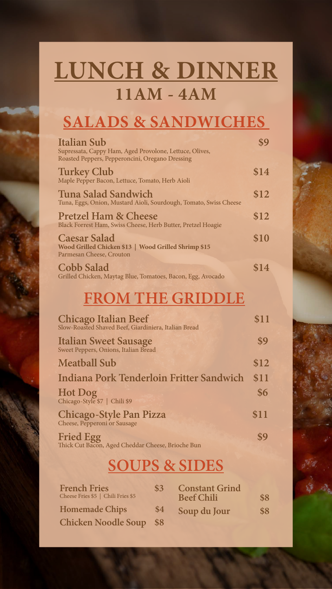# **LUNCH & DINNER 11AM - 4AM**

## **SALADS & SANDWICHES**

| <b>Italian Sub</b><br>Supressata, Cappy Ham, Aged Provolone, Lettuce, Olives,<br>Roasted Peppers, Pepperoncini, Oregano Dressing |      |
|----------------------------------------------------------------------------------------------------------------------------------|------|
| <b>Turkey Club</b><br>Maple Pepper Bacon, Lettuce, Tomato, Herb Aioli                                                            | \$14 |
| <b>Tuna Salad Sandwich</b><br>Tuna, Eggs, Onion, Mustard Aioli, Sourdough, Tomato, Swiss Cheese                                  | \$12 |
| <b>Pretzel Ham &amp; Cheese</b><br>Black Forrest Ham, Swiss Cheese, Herb Butter, Pretzel Hoagie                                  | \$12 |
| <b>Caesar Salad</b><br>Wood Grilled Chicken \$13   Wood Grilled Shrimp \$15<br>Parmesan Cheese, Crouton                          | \$10 |
| <b>Cobb Salad</b>                                                                                                                | \$14 |

Grilled Chicken, Maytag Blue, Tomatoes, Bacon, Egg, Avocado

| <b>Chicago Italian Beef</b><br>Slow-Roasted Shaved Beef, Giardiniera, Italian Bread |     |                                            | \$11 |
|-------------------------------------------------------------------------------------|-----|--------------------------------------------|------|
| <b>Italian Sweet Sausage</b><br>Sweet Peppers, Onions, Italian Bread                |     |                                            | \$9  |
| <b>Meatball Sub</b>                                                                 |     |                                            | \$12 |
| Indiana Pork Tenderloin Fritter Sandwich                                            |     |                                            | \$11 |
| Hot Dog<br>Chicago-Style \$7   Chili \$9                                            |     |                                            | \$6  |
| Chicago-Style Pan Pizza<br>Cheese, Pepperoni or Sausage                             |     |                                            | \$11 |
| <b>Fried Egg</b><br>Thick Cut Bacon, Aged Cheddar Cheese, Brioche Bun               |     |                                            |      |
|                                                                                     |     | <b>SOUPS &amp; SIDES</b>                   |      |
| <b>French Fries</b><br>Cheese Fries \$5   Chili Fries \$5                           | \$3 | <b>Constant Grind</b><br><b>Beef Chili</b> | \$8  |
| <b>Homemade Chips</b>                                                               | \$4 | Soup du Jour                               | \$8  |
| <b>Chicken Noodle Soup</b>                                                          | \$8 |                                            |      |

## **FROM THE GRIDDLE**